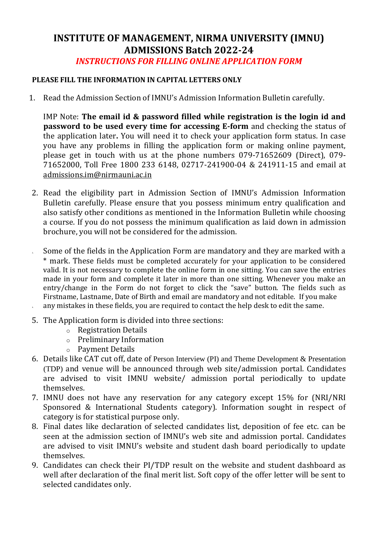## **INSTITUTE OF MANAGEMENT, NIRMA UNIVERSITY (IMNU) ADMISSIONS Batch 2022-24** *INSTRUCTIONS FOR FILLING ONLINE APPLICATION FORM*

## **PLEASE FILL THE INFORMATION IN CAPITAL LETTERS ONLY**

1. Read the Admission Section of IMNU's Admission Information Bulletin carefully.

IMP Note: **The email id & password filled while registration is the login id and password to be used every time for accessing E-form** and checking the status of the application later**.** You will need it to check your application form status. In case you have any problems in filling the application form or making online payment, please get in touch with us at the phone numbers 079-71652609 (Direct), 079- 71652000, Toll Free 1800 233 6148, 02717-241900-04 & 241911-15 and email at [admissions.im@nirmauni.ac.in](mailto:admissions.im@nirmauni.ac.in)

- 2. Read the eligibility part in Admission Section of IMNU's Admission Information Bulletin carefully. Please ensure that you possess minimum entry qualification and also satisfy other conditions as mentioned in the Information Bulletin while choosing a course. If you do not possess the minimum qualification as laid down in admission brochure, you will not be considered for the admission.
- 5. Some of the fields in the Application Form are mandatory and they are marked with a \* mark. These fields must be completed accurately for your application to be considered valid. It is not necessary to complete the online form in one sitting. You can save the entries made in your form and complete it later in more than one sitting. Whenever you make an entry/change in the Form do not forget to click the "save" button. The fields such as Firstname, Lastname, Date of Birth and email are mandatory and not editable. If you make any mistakes in these fields, you are required to contact the help desk to edit the same.
- 5. The Application form is divided into three sections:
	- o Registration Details
	- o Preliminary Information
	- o Payment Details
- 6. Details like CAT cut off, date of Person Interview (PI) and Theme Development & Presentation (TDP) and venue will be announced through web site/admission portal. Candidates are advised to visit IMNU website/ admission portal periodically to update themselves.
- 7. IMNU does not have any reservation for any category except 15% for (NRI/NRI Sponsored & International Students category). Information sought in respect of category is for statistical purpose only.
- 8. Final dates like declaration of selected candidates list, deposition of fee etc. can be seen at the admission section of IMNU's web site and admission portal. Candidates are advised to visit IMNU's website and student dash board periodically to update themselves.
- 9. Candidates can check their PI/TDP result on the website and student dashboard as well after declaration of the final merit list. Soft copy of the offer letter will be sent to selected candidates only.